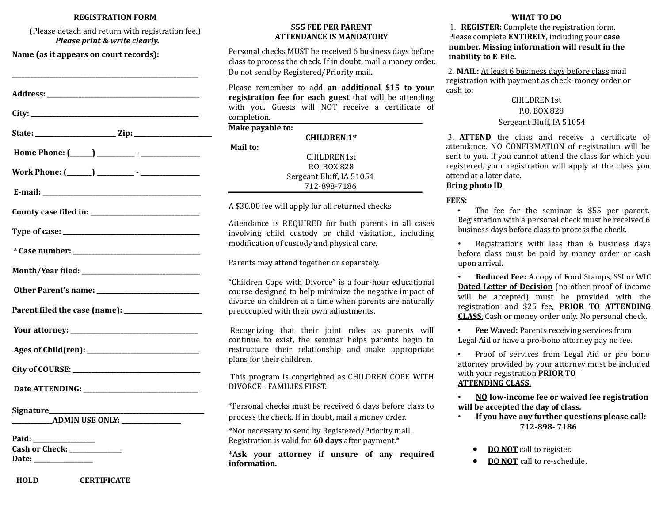#### **REGISTRATION FORM**

(Please detach and return with registration fee.) *Please print & write clearly.*

**\_\_\_\_\_\_\_\_\_\_\_\_\_\_\_\_\_\_\_\_\_\_\_\_\_\_\_\_\_\_\_\_\_\_\_\_\_\_\_\_\_\_\_\_\_\_\_\_\_\_\_\_\_\_\_\_\_\_\_\_**

**Name (as it appears on court records):**

| City: the contract of the contract of the contract of the contract of the contract of the contract of the contract of the contract of the contract of the contract of the contract of the contract of the contract of the cont                                |
|---------------------------------------------------------------------------------------------------------------------------------------------------------------------------------------------------------------------------------------------------------------|
|                                                                                                                                                                                                                                                               |
|                                                                                                                                                                                                                                                               |
|                                                                                                                                                                                                                                                               |
|                                                                                                                                                                                                                                                               |
|                                                                                                                                                                                                                                                               |
|                                                                                                                                                                                                                                                               |
|                                                                                                                                                                                                                                                               |
|                                                                                                                                                                                                                                                               |
|                                                                                                                                                                                                                                                               |
|                                                                                                                                                                                                                                                               |
|                                                                                                                                                                                                                                                               |
|                                                                                                                                                                                                                                                               |
|                                                                                                                                                                                                                                                               |
|                                                                                                                                                                                                                                                               |
| <u>Signature</u> and the state of the state of the state of the state of the state of the state of the state of the state of the state of the state of the state of the state of the state of the state of the state of the state o<br><b>ADMIN USE ONLY:</b> |
| Paid:<br>Cash or Check: ______________<br>Date: ________________                                                                                                                                                                                              |
|                                                                                                                                                                                                                                                               |

### **\$55 FEE PER PARENT ATTENDANCE IS MANDATORY**

Personal checks MUST be received 6 business days before class to process the check. If in doubt, mail a money order. Do not send by Registered/Priority mail.

Please remember to add **an additional \$15 to your registration fee for each guest** that will be attending with you. Guests will NOT receive a certificate of completion.

| Make payable to:         |  |
|--------------------------|--|
| <b>CHILDREN</b> 1st      |  |
| Mail to:                 |  |
| CHILDREN1st              |  |
| P.O. BOX 828             |  |
| Sergeant Bluff, IA 51054 |  |
| 712-898-7186             |  |
|                          |  |

A \$30.00 fee will apply for all returned checks.

Attendance is REQUIRED for both parents in all cases involving child custody or child visitation, including modification of custody and physical care.

Parents may attend together or separately.

"Children Cope with Divorce" is a four-hour educational course designed to help minimize the negative impact of divorce on children at a time when parents are naturally preoccupied with their own adjustments.

Recognizing that their joint roles as parents will continue to exist, the seminar helps parents begin to restructure their relationship and make appropriate plans for their children.

This program is copyrighted as CHILDREN COPE WITH DIVORCE - FAMILIES FIRST.

\*Personal checks must be received 6 days before class to process the check. If in doubt, mail a money order.

\*Not necessary to send by Registered/Priority mail. Registration is valid for **60 days** after payment.\*

**\*Ask your attorney if unsure of any required information.**

#### **WHAT TO DO**

1. **REGISTER:** Complete the registration form. Please complete **ENTIRELY**, including your **case number. Missing information will result in the inability to E-File.**

2. **MAIL:** At least 6 business days before class mail registration with payment as check, money order or cash to:

> CHILDREN1st P.O. BOX 828 Sergeant Bluff, IA 51054

3. **ATTEND** the class and receive a certificate of attendance. NO CONFIRMATION of registration will be sent to you. If you cannot attend the class for which you registered, your registration will apply at the class you attend at a later date.

## **Bring photo ID**

### **FEES:**

The fee for the seminar is \$55 per parent. Registration with a personal check must be received 6 business days before class to process the check.

Registrations with less than 6 business days before class must be paid by money order or cash upon arrival.

• **Reduced Fee:** A copy of Food Stamps, SSI or WIC **Dated Letter of Decision** (no other proof of income will be accepted) must be provided with the registration and \$25 fee, **PRIOR TO ATTENDING CLASS.** Cash or money order only. No personal check.

• **Fee Waved:** Parents receiving services from Legal Aid or have a pro-bono attorney pay no fee.

• Proof of services from Legal Aid or pro bono attorney provided by your attorney must be included with your registration **PRIOR TO ATTENDING CLASS.**

• **NO low-income fee or waived fee registration will be accepted the day of class.**

- **If you have any further questions please call: 712-898- 7186**
	- **DO NOT** call to register.
	- **DO NOT** call to re-schedule.

**HOLD CERTIFICATE**